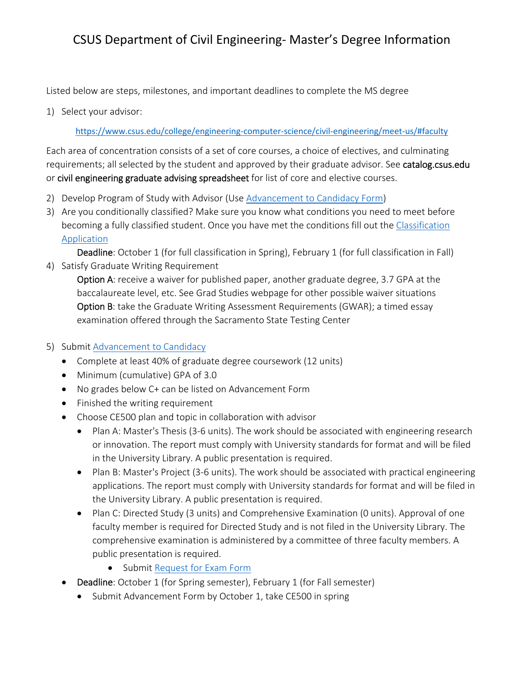Listed below are steps, milestones, and important deadlines to complete the MS degree

1) Select your advisor:

https://www.csus.edu/college/engineering‐computer‐science/civil‐engineering/meet‐us/#faculty

Each area of concentration consists of a set of core courses, a choice of electives, and culminating requirements; all selected by the student and approved by their graduate advisor. See catalog.csus.edu or civil engineering graduate advising spreadsheet for list of core and elective courses.

- 2) Develop Program of Study with Advisor (Use Advancement to Candidacy Form)
- 3) Are you conditionally classified? Make sure you know what conditions you need to meet before becoming a fully classified student. Once you have met the conditions fill out the Classification Application

Deadline: October 1 (for full classification in Spring), February 1 (for full classification in Fall) 4) Satisfy Graduate Writing Requirement

Option A: receive a waiver for published paper, another graduate degree, 3.7 GPA at the baccalaureate level, etc. See Grad Studies webpage for other possible waiver situations Option B: take the Graduate Writing Assessment Requirements (GWAR); a timed essay examination offered through the Sacramento State Testing Center

- 5) Submit Advancement to Candidacy
	- Complete at least 40% of graduate degree coursework (12 units)
	- Minimum (cumulative) GPA of 3.0
	- No grades below C+ can be listed on Advancement Form
	- Finished the writing requirement
	- Choose CE500 plan and topic in collaboration with advisor
		- Plan A: Master's Thesis (3-6 units). The work should be associated with engineering research or innovation. The report must comply with University standards for format and will be filed in the University Library. A public presentation is required.
		- Plan B: Master's Project (3-6 units). The work should be associated with practical engineering applications. The report must comply with University standards for format and will be filed in the University Library. A public presentation is required.
		- Plan C: Directed Study (3 units) and Comprehensive Examination (0 units). Approval of one faculty member is required for Directed Study and is not filed in the University Library. The comprehensive examination is administered by a committee of three faculty members. A public presentation is required.
			- Submit Request for Exam Form
	- Deadline: October 1 (for Spring semester), February 1 (for Fall semester)
		- Submit Advancement Form by October 1, take CE500 in spring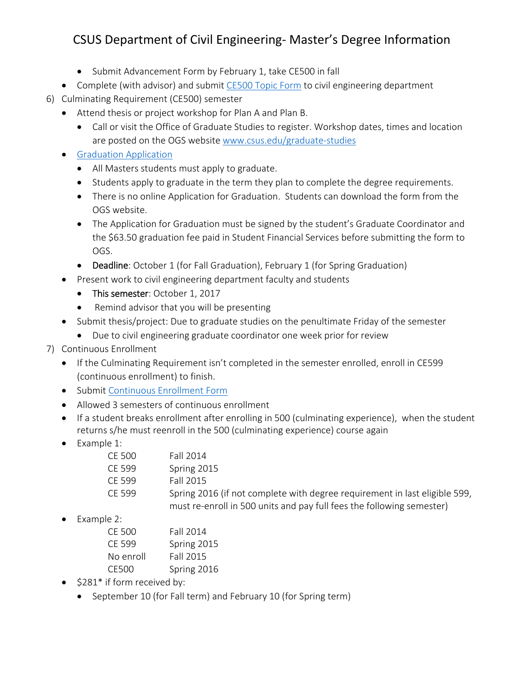## CSUS Department of Civil Engineering‐ Master's Degree Information

- Submit Advancement Form by February 1, take CE500 in fall
- Complete (with advisor) and submit CE500 Topic Form to civil engineering department
- 6) Culminating Requirement (CE500) semester
	- Attend thesis or project workshop for Plan A and Plan B.
		- Call or visit the Office of Graduate Studies to register. Workshop dates, times and location are posted on the OGS website www.csus.edu/graduate‐studies
	- **•** Graduation Application
		- All Masters students must apply to graduate.
		- Students apply to graduate in the term they plan to complete the degree requirements.
		- There is no online Application for Graduation. Students can download the form from the OGS website.
		- The Application for Graduation must be signed by the student's Graduate Coordinator and the \$63.50 graduation fee paid in Student Financial Services before submitting the form to OGS.
		- Deadline: October 1 (for Fall Graduation), February 1 (for Spring Graduation)
	- Present work to civil engineering department faculty and students
		- This semester: October 1, 2017
		- Remind advisor that you will be presenting
	- Submit thesis/project: Due to graduate studies on the penultimate Friday of the semester
		- Due to civil engineering graduate coordinator one week prior for review
- 7) Continuous Enrollment
	- If the Culminating Requirement isn't completed in the semester enrolled, enroll in CE599 (continuous enrollment) to finish.
	- **•** Submit Continuous Enrollment Form
	- Allowed 3 semesters of continuous enrollment
	- If a student breaks enrollment after enrolling in 500 (culminating experience), when the student returns s/he must reenroll in the 500 (culminating experience) course again
	- Example 1:

| CE 500 | Fall 2014                                                                  |
|--------|----------------------------------------------------------------------------|
| CF 599 | Spring 2015                                                                |
| CF 599 | Fall 2015                                                                  |
| CF 599 | Spring 2016 (if not complete with degree requirement in last eligible 599, |
|        | must re-enroll in 500 units and pay full fees the following semester)      |

• Example 2:

| CF 500    | Fall 2014   |
|-----------|-------------|
| CF 599    | Spring 2015 |
| No enroll | Fall 2015   |
| CE500     | Spring 2016 |

- $\bullet$  \$281\* if form received by:
	- September 10 (for Fall term) and February 10 (for Spring term)